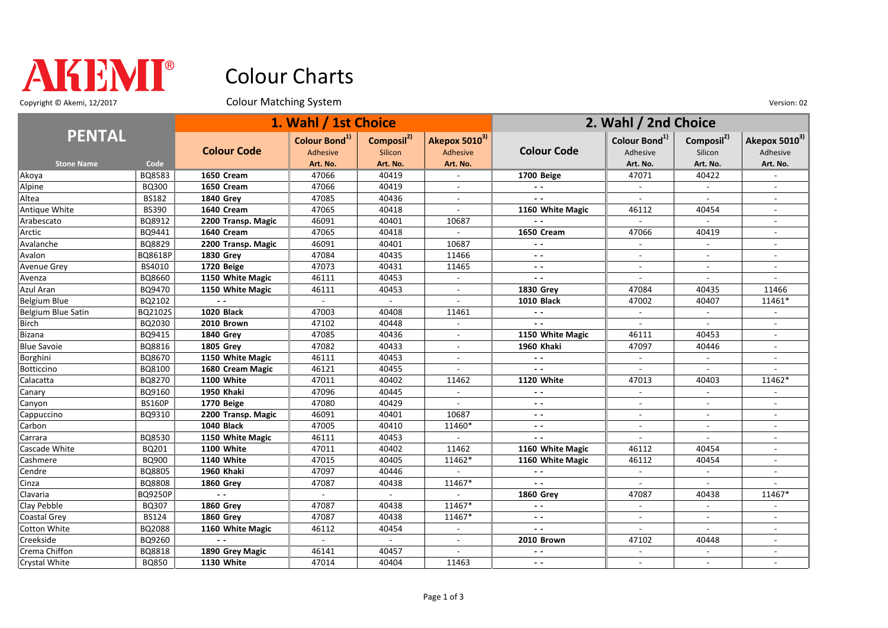

## Colour Charts

Copyright © Akemi, 12/2017 Colour Matching System Colour Matching System Version: 02

| <b>PENTAL</b>       |               | 1. Wahl / 1st Choice |                           |                           |                          | 2. Wahl / 2nd Choice     |                           |                          |                           |
|---------------------|---------------|----------------------|---------------------------|---------------------------|--------------------------|--------------------------|---------------------------|--------------------------|---------------------------|
|                     |               |                      | Colour Bond <sup>1)</sup> | Composil <sup>2)</sup>    | Akepox 50103)            |                          | Colour Bond <sup>1)</sup> | Composil <sup>2)</sup>   | Akepox 5010 <sup>3)</sup> |
|                     |               | <b>Colour Code</b>   | Adhesive                  | Silicon                   | Adhesive                 | <b>Colour Code</b>       | Adhesive                  | Silicon                  | Adhesive                  |
| <b>Stone Name</b>   | Code          |                      | Art. No.                  | Art. No.                  | Art. No.                 |                          | Art. No.                  | Art. No.                 | Art. No.                  |
| Akoya               | BQ8583        | 1650 Cream           | 47066                     | 40419                     |                          | 1700 Beige               | 47071                     | 40422                    |                           |
| Alpine              | BQ300         | 1650 Cream           | 47066                     | 40419                     |                          | $\overline{a}$           |                           | $\overline{a}$           |                           |
| Altea               | <b>BS182</b>  | <b>1840 Grey</b>     | 47085                     | 40436                     |                          |                          |                           |                          |                           |
| Antique White       | <b>BS390</b>  | 1640 Cream           | 47065                     | 40418                     |                          | 1160 White Magic         | 46112                     | 40454                    | $\overline{a}$            |
| Arabescato          | BQ8912        | 2200 Transp. Magic   | 46091                     | 40401                     | 10687                    | $\overline{\phantom{a}}$ | $\overline{a}$            | $\sim$                   | $\overline{\phantom{a}}$  |
| Arctic              | BQ9441        | 1640 Cream           | 47065                     | 40418                     |                          | 1650 Cream               | 47066                     | 40419                    |                           |
| Avalanche           | BQ8829        | 2200 Transp. Magic   | 46091                     | 40401                     | 10687                    | $ -$                     |                           | $\overline{\phantom{a}}$ |                           |
| Avalon              | BQ8618P       | <b>1830 Grev</b>     | 47084                     | 40435                     | 11466                    | $\sim$ $\sim$            |                           | $\sim$                   | $\overline{\phantom{a}}$  |
| Avenue Grey         | BS4010        | 1720 Beige           | 47073                     | 40431                     | 11465                    | $ -$                     | $\overline{\phantom{a}}$  | $\sim$                   | $\overline{\phantom{a}}$  |
| Avenza              | BQ8660        | 1150 White Magic     | 46111                     | 40453                     |                          | $\sim$ $\sim$            |                           |                          |                           |
| Azul Aran           | BQ9470        | 1150 White Magic     | 46111                     | 40453                     |                          | <b>1830 Grey</b>         | 47084                     | 40435                    | 11466                     |
| Belgium Blue        | BQ2102        | $\sim$ $\sim$        | $\mathbb{Z}^{\mathbb{Z}}$ | $\mathbb{L}^{\mathbb{N}}$ |                          | <b>1010 Black</b>        | 47002                     | 40407                    | 11461*                    |
| Belgium Blue Satin  | BQ2102S       | 1020 Black           | 47003                     | 40408                     | 11461                    | $\sim$ $\sim$            | $\blacksquare$            | $\sim$                   |                           |
| Birch               | BQ2030        | 2010 Brown           | 47102                     | 40448                     |                          | $\sim$ $\sim$            | $\sim$                    | $\blacksquare$           |                           |
| Bizana              | BQ9415        | <b>1840 Grev</b>     | 47085                     | 40436                     |                          | 1150 White Magic         | 46111                     | 40453                    | $\blacksquare$            |
| <b>Blue Savoie</b>  | BQ8816        | <b>1805 Grev</b>     | 47082                     | 40433                     |                          | 1960 Khaki               | 47097                     | 40446                    |                           |
| Borghini            | BQ8670        | 1150 White Magic     | 46111                     | 40453                     | $\overline{\phantom{a}}$ | $\sim$ $\sim$            |                           | $\sim$                   | $\overline{\phantom{a}}$  |
| Botticcino          | BQ8100        | 1680 Cream Magic     | 46121                     | 40455                     |                          | $\overline{\phantom{a}}$ |                           |                          |                           |
| Calacatta           | BQ8270        | 1100 White           | 47011                     | 40402                     | 11462                    | 1120 White               | 47013                     | 40403                    | 11462*                    |
| Canary              | BQ9160        | 1950 Khaki           | 47096                     | 40445                     | $\overline{\phantom{a}}$ | $\overline{\phantom{a}}$ |                           | $\overline{\phantom{a}}$ |                           |
| Canyon              | <b>BS160P</b> | 1770 Beige           | 47080                     | 40429                     |                          | $ -$                     | $\sim$                    | $\overline{a}$           | $\overline{a}$            |
| Cappuccino          | BQ9310        | 2200 Transp. Magic   | 46091                     | 40401                     | 10687                    | $\sim$ $\sim$            | $\sim$                    | $\overline{\phantom{a}}$ |                           |
| Carbon              |               | <b>1040 Black</b>    | 47005                     | 40410                     | 11460*                   | $\sim$ $\sim$            |                           |                          |                           |
| Carrara             | BQ8530        | 1150 White Magic     | 46111                     | 40453                     |                          | $ -$                     | $\sim$                    | $\sim$                   | $\overline{a}$            |
| Cascade White       | BQ201         | 1100 White           | 47011                     | 40402                     | 11462                    | 1160 White Magic         | 46112                     | 40454                    | $\overline{\phantom{a}}$  |
| Cashmere            | BQ900         | <b>1140 White</b>    | 47015                     | 40405                     | 11462*                   | 1160 White Magic         | 46112                     | 40454                    |                           |
| Cendre              | BQ8805        | 1960 Khaki           | 47097                     | 40446                     |                          | $\overline{a}$           |                           |                          |                           |
| Cinza               | BQ8808        | <b>1860 Grey</b>     | 47087                     | 40438                     | 11467*                   | $\sim$ $\sim$            |                           | $\sim$                   |                           |
| Clavaria            | BQ9250P       | $\overline{a}$       | $\mathbf{r}$              | $\mathbf{r}$              |                          | <b>1860 Grev</b>         | 47087                     | 40438                    | 11467*                    |
| Clay Pebble         | BQ307         | <b>1860 Grev</b>     | 47087                     | 40438                     | 11467*                   | $\overline{\phantom{a}}$ | $\overline{\phantom{a}}$  | $\overline{\phantom{a}}$ |                           |
| <b>Coastal Grey</b> | <b>BS124</b>  | <b>1860 Grev</b>     | 47087                     | 40438                     | 11467*                   | $\sim$ $\sim$            |                           |                          |                           |
| Cotton White        | BQ2088        | 1160 White Magic     | 46112                     | 40454                     | $\overline{\phantom{a}}$ | $ -$                     | $\sim$                    | $\sim$                   | $\overline{\phantom{a}}$  |
| Creekside           | BQ9260        | $\sim$ $\sim$        | $\sim$                    | $\overline{\phantom{a}}$  |                          | 2010 Brown               | 47102                     | 40448                    | $\blacksquare$            |
| Crema Chiffon       | BQ8818        | 1890 Grey Magic      | 46141                     | 40457                     |                          | . .                      |                           |                          |                           |
| Crystal White       | BQ850         | 1130 White           | 47014                     | 40404                     | 11463                    | $ -$                     |                           |                          | $\overline{a}$            |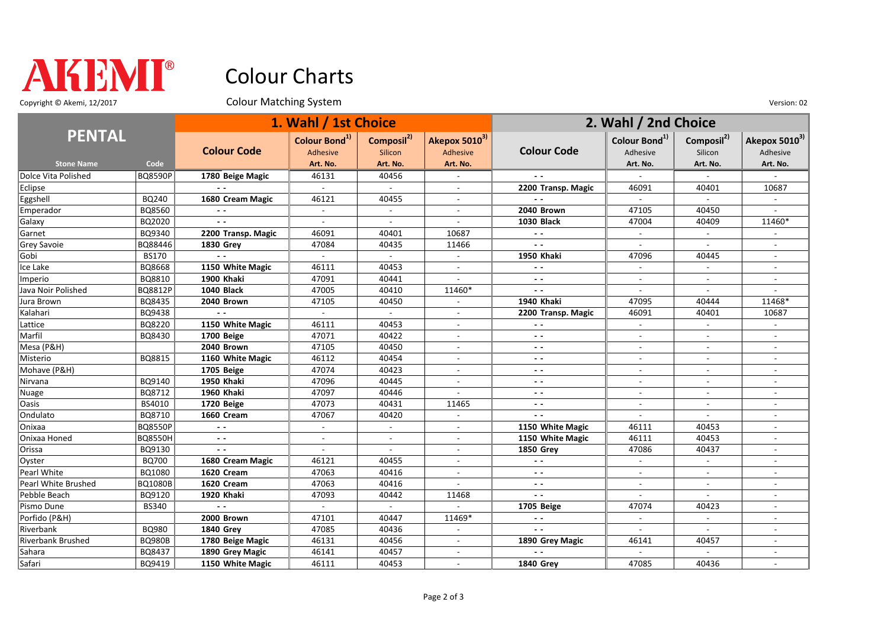

## Colour Charts

Copyright © Akemi, 12/2017 Colour Matching System Colour Matching System Version: 02

| <b>PENTAL</b>       |                |                    | 1. Wahl / 1st Choice      |                          |                           | 2. Wahl / 2nd Choice     |                           |                          |                           |
|---------------------|----------------|--------------------|---------------------------|--------------------------|---------------------------|--------------------------|---------------------------|--------------------------|---------------------------|
|                     |                | <b>Colour Code</b> | Colour Bond <sup>1)</sup> | Composil <sup>2)</sup>   | Akepox 5010 <sup>3)</sup> | <b>Colour Code</b>       | Colour Bond <sup>1)</sup> | Composil <sup>2)</sup>   | Akepox 5010 <sup>3)</sup> |
| <b>Stone Name</b>   | Code           |                    | Adhesive<br>Art. No.      | Silicon<br>Art. No.      | Adhesive<br>Art. No.      |                          | Adhesive<br>Art. No.      | Silicon<br>Art. No.      | Adhesive<br>Art. No.      |
| Dolce Vita Polished | <b>BQ8590P</b> | 1780 Beige Magic   | 46131                     | 40456                    |                           |                          |                           |                          |                           |
| Eclipse             |                | $\sim$ $\sim$      | $\sim$                    | $\sim$                   | $\overline{a}$            | 2200 Transp. Magic       | 46091                     | 40401                    | 10687                     |
| Eggshell            | BQ240          | 1680 Cream Magic   | 46121                     | 40455                    | $\overline{\phantom{a}}$  | $\sim$ $\sim$            | $\sim$                    | $\sim$                   |                           |
| Emperador           | BQ8560         |                    |                           |                          |                           | 2040 Brown               | 47105                     | 40450                    |                           |
| Galaxy              | BQ2020         | $\sim$ $\sim$      | $\sim$                    | $\sim$                   | $\overline{a}$            | <b>1030 Black</b>        | 47004                     | 40409                    | 11460*                    |
| Garnet              | BQ9340         | 2200 Transp. Magic | 46091                     | 40401                    | 10687                     | $ -$                     | $\sim$                    | $\sim$                   |                           |
| Grey Savoie         | BQ88446        | <b>1830 Grev</b>   | 47084                     | 40435                    | 11466                     | $\sim$ $\sim$            | $\sim$                    | $\blacksquare$           | $\overline{\phantom{a}}$  |
| Gobi                | <b>BS170</b>   | $\sim$ $\sim$      |                           |                          |                           | <b>1950 Khaki</b>        | 47096                     | 40445                    |                           |
| Ice Lake            | BQ8668         | 1150 White Magic   | 46111                     | 40453                    | $\blacksquare$            | $\overline{\phantom{a}}$ |                           | $\overline{\phantom{a}}$ | $\blacksquare$            |
| Imperio             | BQ8810         | 1900 Khaki         | 47091                     | 40441                    |                           | $\overline{\phantom{a}}$ |                           |                          | $\overline{a}$            |
| Java Noir Polished  | BQ8812P        | <b>1040 Black</b>  | 47005                     | 40410                    | 11460*                    | $\sim$ $\sim$            |                           |                          |                           |
| Jura Brown          | BQ8435         | 2040 Brown         | 47105                     | 40450                    |                           | <b>1940 Khaki</b>        | 47095                     | 40444                    | 11468*                    |
| Kalahari            | BQ9438         | $\sim$ $\sim$      | $\sim$                    | $\sim$                   | $\sim$                    | 2200 Transp. Magic       | 46091                     | 40401                    | 10687                     |
| Lattice             | BQ8220         | 1150 White Magic   | 46111                     | 40453                    | $\overline{\phantom{a}}$  | $\overline{\phantom{a}}$ | $\sim$                    | $\sim$                   |                           |
| Marfil              | BQ8430         | 1700 Beige         | 47071                     | 40422                    | $\overline{\phantom{a}}$  | $ -$                     | $\sim$                    | $\sim$                   |                           |
| Mesa (P&H)          |                | 2040 Brown         | 47105                     | 40450                    |                           | $\overline{\phantom{a}}$ |                           | $\sim$                   | $\overline{a}$            |
| Misterio            | BQ8815         | 1160 White Magic   | 46112                     | 40454                    | $\sim$                    | $\sim$ $\sim$            | $\overline{\phantom{a}}$  | $\overline{\phantom{a}}$ | $\overline{\phantom{a}}$  |
| Mohave (P&H)        |                | 1705 Beige         | 47074                     | 40423                    |                           | $ -$                     |                           | $\sim$                   |                           |
| Nirvana             | BQ9140         | 1950 Khaki         | 47096                     | 40445                    |                           | $ -$                     |                           |                          |                           |
| Nuage               | BQ8712         | 1960 Khaki         | 47097                     | 40446                    |                           | $\sim$ $\sim$            |                           |                          |                           |
| <b>Oasis</b>        | BS4010         | 1720 Beige         | 47073                     | 40431                    | 11465                     | $ -$                     | $\sim$                    | $\sim$                   | $\blacksquare$            |
| Ondulato            | BQ8710         | 1660 Cream         | 47067                     | 40420                    | $\overline{a}$            | $\sim$ $\sim$            | $\sim$                    | $\overline{a}$           |                           |
| Onixaa              | <b>BQ8550P</b> | $\sim$ $\sim$      | $\sim$                    | $\mathbf{r}$             |                           | 1150 White Magic         | 46111                     | 40453                    |                           |
| Onixaa Honed        | <b>BQ8550H</b> | $ -$               | $\sim$                    | $\overline{\phantom{a}}$ | $\blacksquare$            | 1150 White Magic         | 46111                     | 40453                    |                           |
| Orissa              | BQ9130         | $\sim$ $\sim$      |                           | $\overline{a}$           |                           | <b>1850 Grey</b>         | 47086                     | 40437                    |                           |
| Oyster              | <b>BQ700</b>   | 1680 Cream Magic   | 46121                     | 40455                    |                           | $\sim$ $\sim$            |                           | $\sim$                   |                           |
| Pearl White         | BQ1080         | 1620 Cream         | 47063                     | 40416                    |                           | $\overline{\phantom{a}}$ |                           |                          |                           |
| Pearl White Brushed | <b>BQ1080B</b> | 1620 Cream         | 47063                     | 40416                    | $\overline{a}$            | $\sim$ $\sim$            |                           | $\overline{a}$           |                           |
| Pebble Beach        | BQ9120         | 1920 Khaki         | 47093                     | 40442                    | 11468                     | $\sim$ $\sim$            | $\sim$                    | $\sim$                   | $\overline{\phantom{a}}$  |
| Pismo Dune          | <b>BS340</b>   |                    | $\overline{\phantom{a}}$  | $\overline{\phantom{a}}$ |                           | 1705 Beige               | 47074                     | 40423                    | $\blacksquare$            |
| Porfido (P&H)       |                | 2000 Brown         | 47101                     | 40447                    | 11469*                    | ٠.                       | $\overline{a}$            | $\overline{a}$           | $\overline{a}$            |
| Riverbank           | BQ980          | <b>1840 Grey</b>   | 47085                     | 40436                    | $\overline{\phantom{a}}$  | $\sim$ $\sim$            | $\sim$                    | $\sim$                   | $\blacksquare$            |
| Riverbank Brushed   | <b>BQ980B</b>  | 1780 Beige Magic   | 46131                     | 40456                    |                           | 1890 Grey Magic          | 46141                     | 40457                    | $\overline{\phantom{a}}$  |
| Sahara              | BQ8437         | 1890 Grey Magic    | 46141                     | 40457                    |                           |                          |                           |                          |                           |
| Safari              | BQ9419         | 1150 White Magic   | 46111                     | 40453                    |                           | <b>1840 Grev</b>         | 47085                     | 40436                    |                           |